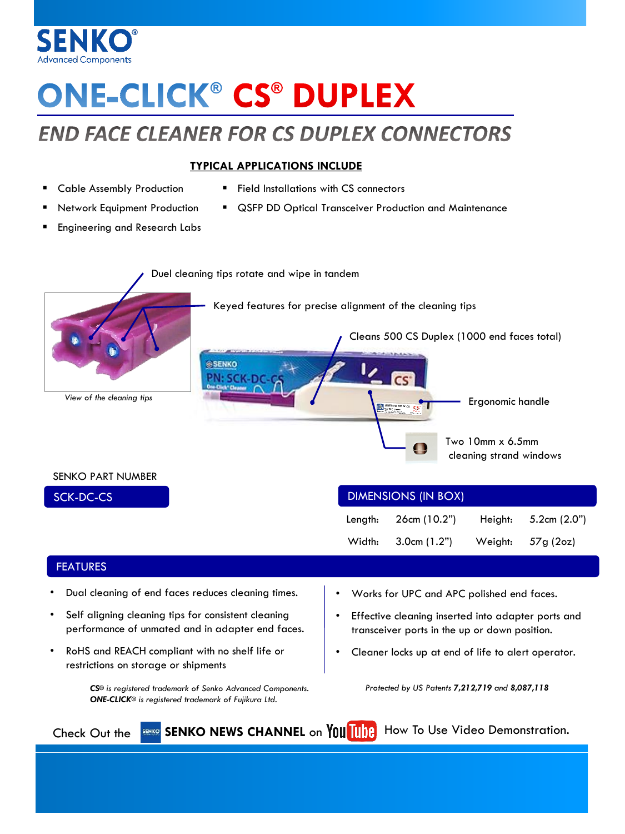

# **ONE-CLICK® CS® DUPLEX**

## **END FACE CLEANER FOR CS DUPLEX CONNECTORS**

#### **TYPICAL APPLICATIONS INCLUDE**

- Cable Assembly Production
- Network Equipment Production
- **Field Installations with CS connectors**
- QSFP DD Optical Transceiver Production and Maintenance
- Engineering and Research Labs